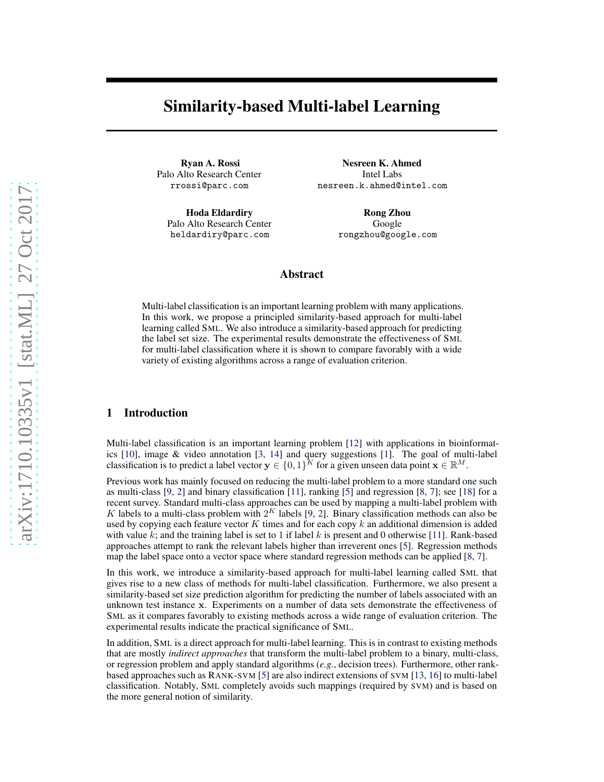# Similarity-based Multi-label Learning

Ryan A. Rossi Palo Alto Research Center rrossi@parc.com

Hoda Eldardiry Palo Alto Research Center heldardiry@parc.com

Nesreen K. Ahmed Intel Labs nesreen.k.ahmed@intel.com

> Rong Zhou Google rongzhou@google.com

# Abstract

Multi-label classification is an important learning problem with many applications. In this work, we propose a principled similarity-based approach for multi-label learning called SML. We also introduce a similarity-based approach for predicting the label set size. The experimental results demonstrate the effectiveness of SML for multi-label classification where it is shown to compare favorably with a wide variety of existing algorithms across a range of evaluation criterion.

# 1 Introduction

Multi-label classification is an important learning problem [\[12\]](#page-5-0) with applications in bioinformatics [\[10](#page-5-0)], image & video annotation [\[3,](#page-5-0) [14](#page-5-0)] and query suggestions [\[1](#page-5-0)]. The goal of multi-label classification is to predict a label vector  $y \in \{0,1\}^K$  for a given unseen data point  $x \in \mathbb{R}^M$ .

Previous work has mainly focused on reducing the multi-label problem to a more standard one such as multi-class [\[9](#page-5-0), [2\]](#page-5-0) and binary classification [\[11\]](#page-5-0), ranking [\[5](#page-5-0)] and regression [\[8,](#page-5-0) [7\]](#page-5-0); see [\[18\]](#page-5-0) for a recent survey. Standard multi-class approaches can be used by mapping a multi-label problem with K labels to a multi-class problem with  $2<sup>K</sup>$  labels [\[9](#page-5-0), [2\]](#page-5-0). Binary classification methods can also be used by copying each feature vector  $K$  times and for each copy  $k$  an additional dimension is added with value k; and the training label is set to 1 if label k is present and 0 otherwise [\[11\]](#page-5-0). Rank-based approaches attempt to rank the relevant labels higher than irreverent ones [\[5\]](#page-5-0). Regression methods map the label space onto a vector space where standard regression methods can be applied [\[8,](#page-5-0) [7\]](#page-5-0).

In this work, we introduce a similarity-based approach for multi-label learning called SML that gives rise to a new class of methods for multi-label classification. Furthermore, we also present a similarity-based set size prediction algorithm for predicting the number of labels associated with an unknown test instance x. Experiments on a number of data sets demonstrate the effectiveness of SML as it compares favorably to existing methods across a wide range of evaluation criterion. The experimental results indicate the practical significance of SML.

In addition, SML is a direct approach for multi-label learning. This is in contrast to existing methods that are mostly *indirect approaches* that transform the multi-label problem to a binary, multi-class, or regression problem and apply standard algorithms (*e.g.*, decision trees). Furthermore, other rankbased approaches such as RANK-SVM [\[5](#page-5-0)] are also indirect extensions of SVM [\[13,](#page-5-0) [16\]](#page-5-0) to multi-label classification. Notably, SML completely avoids such mappings (required by SVM) and is based on the more general notion of similarity.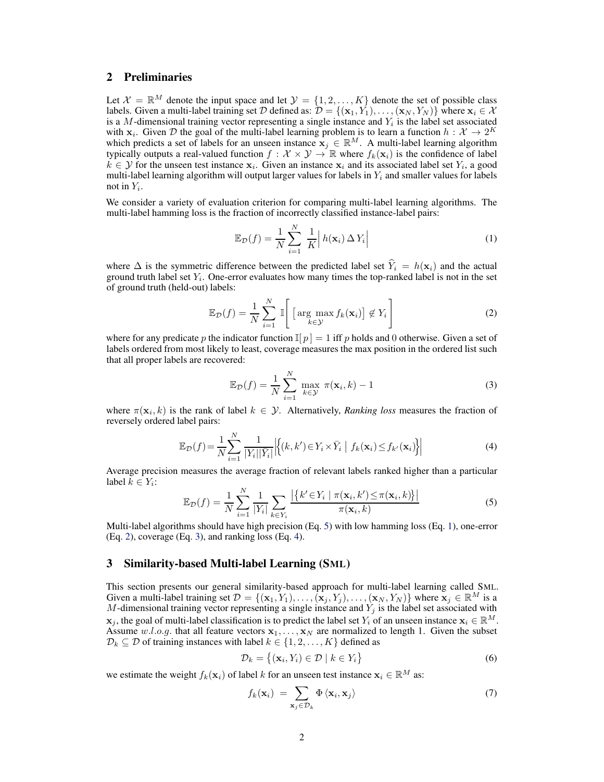# 2 Preliminaries

Let  $\mathcal{X} = \mathbb{R}^M$  denote the input space and let  $\mathcal{Y} = \{1, 2, ..., K\}$  denote the set of possible class labels. Given a multi-label training set D defined as:  $\mathcal{D} = \{(\mathbf{x}_1, Y_1), \dots, (\mathbf{x}_N, Y_N)\}$  where  $\mathbf{x}_i \in \mathcal{X}$ is a M-dimensional training vector representing a single instance and  $Y_i$  is the label set associated with  $x_i$ . Given D the goal of the multi-label learning problem is to learn a function  $h: \mathcal{X} \to 2^K$ which predicts a set of labels for an unseen instance  $x_j \in \mathbb{R}^M$ . A multi-label learning algorithm typically outputs a real-valued function  $f: \mathcal{X} \times \mathcal{Y} \to \mathbb{R}$  where  $f_k(\mathbf{x}_i)$  is the confidence of label  $k \in \mathcal{Y}$  for the unseen test instance  $\mathbf{x}_i$ . Given an instance  $\mathbf{x}_i$  and its associated label set  $Y_i$ , a good multi-label learning algorithm will output larger values for labels in  $Y_i$  and smaller values for labels not in  $Y_i$ .

We consider a variety of evaluation criterion for comparing multi-label learning algorithms. The multi-label hamming loss is the fraction of incorrectly classified instance-label pairs:

$$
\mathbb{E}_{\mathcal{D}}(f) = \frac{1}{N} \sum_{i=1}^{N} \frac{1}{K} \left| h(\mathbf{x}_i) \Delta Y_i \right| \tag{1}
$$

where  $\Delta$  is the symmetric difference between the predicted label set  $\hat{Y}_i = h(\mathbf{x}_i)$  and the actual ground truth label set  $Y_i$ . One-error evaluates how many times the top-ranked label is not in the set of ground truth (held-out) labels:

$$
\mathbb{E}_{\mathcal{D}}(f) = \frac{1}{N} \sum_{i=1}^{N} \mathbb{I}\left[\left[\arg\max_{k \in \mathcal{Y}} f_k(\mathbf{x}_i)\right] \notin Y_i\right]
$$
(2)

where for any predicate p the indicator function  $\mathbb{I}[p] = 1$  iff p holds and 0 otherwise. Given a set of labels ordered from most likely to least, coverage measures the max position in the ordered list such that all proper labels are recovered:

$$
\mathbb{E}_{\mathcal{D}}(f) = \frac{1}{N} \sum_{i=1}^{N} \max_{k \in \mathcal{Y}} \pi(\mathbf{x}_i, k) - 1
$$
 (3)

where  $\pi(\mathbf{x}_i, k)$  is the rank of label  $k \in \mathcal{Y}$ . Alternatively, *Ranking loss* measures the fraction of reversely ordered label pairs:

$$
\mathbb{E}_{\mathcal{D}}(f) = \frac{1}{N} \sum_{i=1}^{N} \frac{1}{|Y_i| |\bar{Y}_i|} \left| \left\{ (k, k') \in Y_i \times \bar{Y}_i \middle| f_k(\mathbf{x}_i) \le f_{k'}(\mathbf{x}_i) \right\} \right| \tag{4}
$$

Average precision measures the average fraction of relevant labels ranked higher than a particular label  $k \in Y_i$ :

$$
\mathbb{E}_{\mathcal{D}}(f) = \frac{1}{N} \sum_{i=1}^{N} \frac{1}{|Y_i|} \sum_{k \in Y_i} \frac{\left| \left\{ k' \in Y_i \mid \pi(\mathbf{x}_i, k') \le \pi(\mathbf{x}_i, k) \right\} \right|}{\pi(\mathbf{x}_i, k)} \tag{5}
$$

Multi-label algorithms should have high precision (Eq. 5) with low hamming loss (Eq. 1), one-error (Eq. 2), coverage (Eq. 3), and ranking loss (Eq. 4).

### 3 Similarity-based Multi-label Learning (SML)

This section presents our general similarity-based approach for multi-label learning called SML. Given a multi-label training set  $\mathcal{D} = \{(\mathbf{x}_1, Y_1), \dots, (\mathbf{x}_j, Y_j), \dots, (\mathbf{x}_N, Y_N)\}\$  where  $\mathbf{x}_j \in \mathbb{R}^M$  is a M-dimensional training vector representing a single instance and  $Y_i$  is the label set associated with  $\mathbf{x}_i$ , the goal of multi-label classification is to predict the label set  $Y_i$  of an unseen instance  $\mathbf{x}_i \in \mathbb{R}^M$ . Assume w.l.o.g. that all feature vectors  $x_1, \ldots, x_N$  are normalized to length 1. Given the subset  $\mathcal{D}_k \subseteq \mathcal{D}$  of training instances with label  $k \in \{1, 2, ..., K\}$  defined as

$$
\mathcal{D}_k = \{ (\mathbf{x}_i, Y_i) \in \mathcal{D} \mid k \in Y_i \}
$$
\n
$$
(6)
$$

we estimate the weight  $f_k(\mathbf{x}_i)$  of label k for an unseen test instance  $\mathbf{x}_i \in \mathbb{R}^M$  as:

$$
f_k(\mathbf{x}_i) = \sum_{\mathbf{x}_j \in \mathcal{D}_k} \Phi \langle \mathbf{x}_i, \mathbf{x}_j \rangle \tag{7}
$$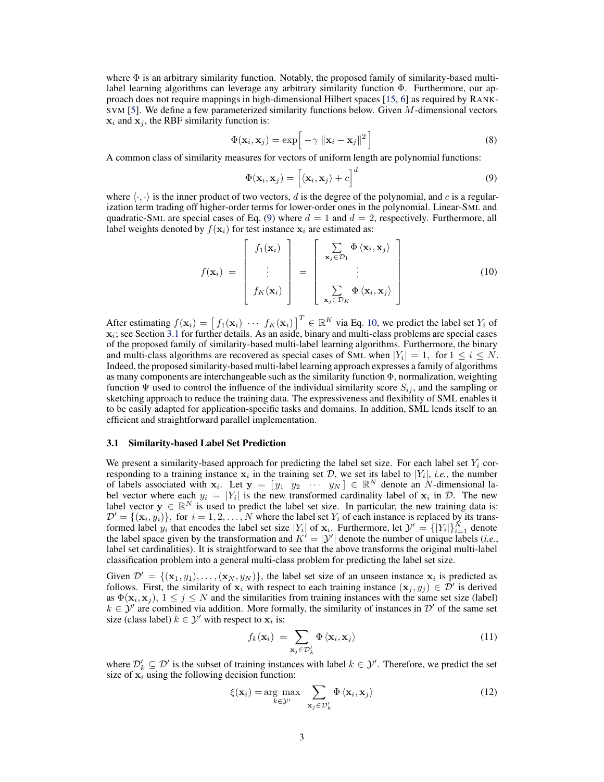<span id="page-2-0"></span>where  $\Phi$  is an arbitrary similarity function. Notably, the proposed family of similarity-based multilabel learning algorithms can leverage any arbitrary similarity function Φ. Furthermore, our approach does not require mappings in high-dimensional Hilbert spaces [\[15](#page-5-0), [6](#page-5-0)] as required by RANK-SVM [\[5\]](#page-5-0). We define a few parameterized similarity functions below. Given M-dimensional vectors  $x_i$  and  $x_j$ , the RBF similarity function is:

$$
\Phi(\mathbf{x}_i, \mathbf{x}_j) = \exp\left[-\gamma \|\mathbf{x}_i - \mathbf{x}_j\|^2\right]
$$
\n(8)

A common class of similarity measures for vectors of uniform length are polynomial functions:

$$
\Phi(\mathbf{x}_i, \mathbf{x}_j) = \left[ \langle \mathbf{x}_i, \mathbf{x}_j \rangle + c \right]^d \tag{9}
$$

where  $\langle \cdot, \cdot \rangle$  is the inner product of two vectors, d is the degree of the polynomial, and c is a regularization term trading off higher-order terms for lower-order ones in the polynomial. Linear-SML and quadratic-SML are special cases of Eq. (9) where  $d = 1$  and  $d = 2$ , respectively. Furthermore, all label weights denoted by  $f(\mathbf{x}_i)$  for test instance  $\mathbf{x}_i$  are estimated as:

$$
f(\mathbf{x}_i) = \begin{bmatrix} f_1(\mathbf{x}_i) \\ \vdots \\ f_K(\mathbf{x}_i) \end{bmatrix} = \begin{bmatrix} \sum_{\mathbf{x}_j \in \mathcal{D}_1} \Phi \langle \mathbf{x}_i, \mathbf{x}_j \rangle \\ \vdots \\ \sum_{\mathbf{x}_j \in \mathcal{D}_K} \Phi \langle \mathbf{x}_i, \mathbf{x}_j \rangle \end{bmatrix}
$$
(10)

After estimating  $f(\mathbf{x}_i) = \begin{bmatrix} f_1(\mathbf{x}_i) & \cdots & f_K(\mathbf{x}_i) \end{bmatrix}^T \in \mathbb{R}^K$  via Eq. 10, we predict the label set  $Y_i$  of  $\mathbf{x}_i$ ; see Section 3.1 for further details. As an aside, binary and multi-class problems are special cases of the proposed family of similarity-based multi-label learning algorithms. Furthermore, the binary and multi-class algorithms are recovered as special cases of SML when  $|Y_i| = 1$ , for  $1 \le i \le N$ . Indeed, the proposed similarity-based multi-label learning approach expresses a family of algorithms as many components are interchangeable such as the similarity function Φ, normalization, weighting function  $\Psi$  used to control the influence of the individual similarity score  $S_{ij}$ , and the sampling or sketching approach to reduce the training data. The expressiveness and flexibility of SML enables it to be easily adapted for application-specific tasks and domains. In addition, SML lends itself to an efficient and straightforward parallel implementation.

#### 3.1 Similarity-based Label Set Prediction

We present a similarity-based approach for predicting the label set size. For each label set  $Y_i$  corresponding to a training instance  $x_i$  in the training set D, we set its label to  $|Y_i|$ , *i.e.*, the number of labels associated with  $x_i$ . Let  $y = [y_1 \ y_2 \ \cdots \ y_N] \in \mathbb{R}^N$  denote an N-dimensional label vector where each  $y_i = |Y_i|$  is the new transformed cardinality label of  $x_i$  in  $D$ . The new label vector  $y \in \mathbb{R}^N$  is used to predict the label set size. In particular, the new training data is:  $\mathcal{D}' = \{(\mathbf{x}_i, y_i)\}\$ , for  $i = 1, 2, ..., N$  where the label set  $Y_i$  of each instance is replaced by its transformed label  $y_i$  that encodes the label set size  $|Y_i|$  of  $\mathbf{x}_i$ . Furthermore, let  $\mathcal{Y}' = \{|Y_i|\}_{i=1}^N$  denote the label space given by the transformation and  $K' = |y'|$  denote the number of unique labels (*i.e.*, label set cardinalities). It is straightforward to see that the above transforms the original multi-label classification problem into a general multi-class problem for predicting the label set size.

Given  $\mathcal{D}' = \{(\mathbf{x}_1, y_1), \dots, (\mathbf{x}_N, y_N)\}\$ , the label set size of an unseen instance  $\mathbf{x}_i$  is predicted as follows. First, the similarity of  $x_i$  with respect to each training instance  $(x_j, y_j) \in \mathcal{D}'$  is derived as  $\Phi(\mathbf{x}_i, \mathbf{x}_j)$ ,  $1 \leq j \leq N$  and the similarities from training instances with the same set size (label)  $k \in \mathcal{Y}'$  are combined via addition. More formally, the similarity of instances in  $\mathcal{D}'$  of the same set size (class label)  $k \in \mathcal{Y}'$  with respect to  $\mathbf{x}_i$  is:

$$
f_k(\mathbf{x}_i) = \sum_{\mathbf{x}_j \in \mathcal{D}'_k} \Phi \langle \mathbf{x}_i, \mathbf{x}_j \rangle \tag{11}
$$

where  $\mathcal{D}'_k \subseteq \mathcal{D}'$  is the subset of training instances with label  $k \in \mathcal{Y}'$ . Therefore, we predict the set size of  $x_i$  using the following decision function:

$$
\xi(\mathbf{x}_i) = \underset{k \in \mathcal{Y}'}{\arg \max} \sum_{\mathbf{x}_j \in \mathcal{D}'_k} \Phi \langle \mathbf{x}_i, \mathbf{x}_j \rangle \tag{12}
$$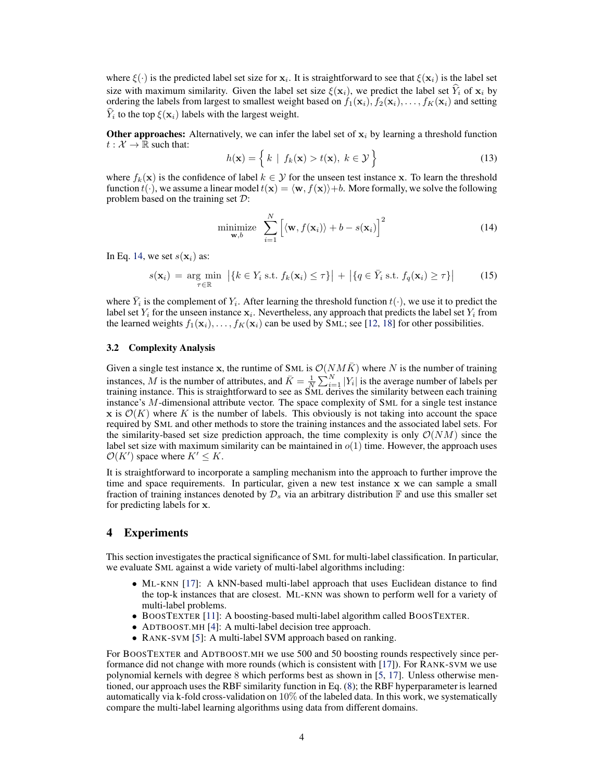where  $\xi(\cdot)$  is the predicted label set size for  $x_i$ . It is straightforward to see that  $\xi(x_i)$  is the label set size with maximum similarity. Given the label set size  $\xi(\mathbf{x}_i)$ , we predict the label set  $Y_i$  of  $\mathbf{x}_i$  by ordering the labels from largest to smallest weight based on  $f_1(\mathbf{x}_i), f_2(\mathbf{x}_i), \ldots, f_K(\mathbf{x}_i)$  and setting  $Y_i$  to the top  $\xi(\mathbf{x}_i)$  labels with the largest weight.

Other approaches: Alternatively, we can infer the label set of  $x_i$  by learning a threshold function  $t : \mathcal{X} \to \mathbb{R}$  such that:

$$
h(\mathbf{x}) = \left\{ k \mid f_k(\mathbf{x}) > t(\mathbf{x}), \ k \in \mathcal{Y} \right\}
$$
 (13)

where  $f_k(\mathbf{x})$  is the confidence of label  $k \in \mathcal{Y}$  for the unseen test instance x. To learn the threshold function  $t(\cdot)$ , we assume a linear model  $t(\mathbf{x}) = \langle \mathbf{w}, f(\mathbf{x}) \rangle + b$ . More formally, we solve the following problem based on the training set D:

$$
\underset{\mathbf{w},b}{\text{minimize}} \sum_{i=1}^{N} \left[ \langle \mathbf{w}, f(\mathbf{x}_i) \rangle + b - s(\mathbf{x}_i) \right]^2 \tag{14}
$$

In Eq. 14, we set  $s(\mathbf{x}_i)$  as:

$$
s(\mathbf{x}_i) = \underset{\tau \in \mathbb{R}}{\arg \min} \left| \{ k \in Y_i \text{ s.t. } f_k(\mathbf{x}_i) \leq \tau \} \right| + \left| \{ q \in \bar{Y}_i \text{ s.t. } f_q(\mathbf{x}_i) \geq \tau \} \right| \tag{15}
$$

where  $\bar{Y}_i$  is the complement of  $Y_i$ . After learning the threshold function  $t(\cdot)$ , we use it to predict the label set  $Y_i$  for the unseen instance  $\mathbf{x}_i$ . Nevertheless, any approach that predicts the label set  $Y_i$  from the learned weights  $f_1(\mathbf{x}_i), \ldots, f_K(\mathbf{x}_i)$  can be used by SML; see [\[12,](#page-5-0) [18\]](#page-5-0) for other possibilities.

### 3.2 Complexity Analysis

Given a single test instance x, the runtime of SML is  $\mathcal{O}(NM\bar{K})$  where N is the number of training instances, M is the number of attributes, and  $\bar{K} = \frac{1}{N} \sum_{i=1}^{N} |Y_i|$  is the average number of labels per training instance. This is straightforward to see as SML derives the similarity between each training instance's M-dimensional attribute vector. The space complexity of SML for a single test instance x is  $\mathcal{O}(K)$  where K is the number of labels. This obviously is not taking into account the space required by SML and other methods to store the training instances and the associated label sets. For the similarity-based set size prediction approach, the time complexity is only  $\mathcal{O}(NM)$  since the label set size with maximum similarity can be maintained in  $o(1)$  time. However, the approach uses  $\mathcal{O}(K')$  space where  $K' \leq K$ .

It is straightforward to incorporate a sampling mechanism into the approach to further improve the time and space requirements. In particular, given a new test instance x we can sample a small fraction of training instances denoted by  $\mathcal{D}_s$  via an arbitrary distribution  $\mathbb F$  and use this smaller set for predicting labels for x.

# 4 Experiments

This section investigates the practical significance of SML for multi-label classification. In particular, we evaluate SML against a wide variety of multi-label algorithms including:

- ML-KNN [\[17](#page-5-0)]: A kNN-based multi-label approach that uses Euclidean distance to find the top-k instances that are closest. ML-KNN was shown to perform well for a variety of multi-label problems.
- BOOSTEXTER [\[11\]](#page-5-0): A boosting-based multi-label algorithm called BOOSTEXTER.
- ADTBOOST.MH [\[4\]](#page-5-0): A multi-label decision tree approach.
- RANK-SVM [\[5](#page-5-0)]: A multi-label SVM approach based on ranking.

For BOOSTEXTER and ADTBOOST.MH we use 500 and 50 boosting rounds respectively since performance did not change with more rounds (which is consistent with [\[17](#page-5-0)]). For RANK-SVM we use polynomial kernels with degree 8 which performs best as shown in [\[5,](#page-5-0) [17\]](#page-5-0). Unless otherwise mentioned, our approach uses the RBF similarity function in Eq. [\(8\)](#page-2-0); the RBF hyperparameter is learned automatically via k-fold cross-validation on 10% of the labeled data. In this work, we systematically compare the multi-label learning algorithms using data from different domains.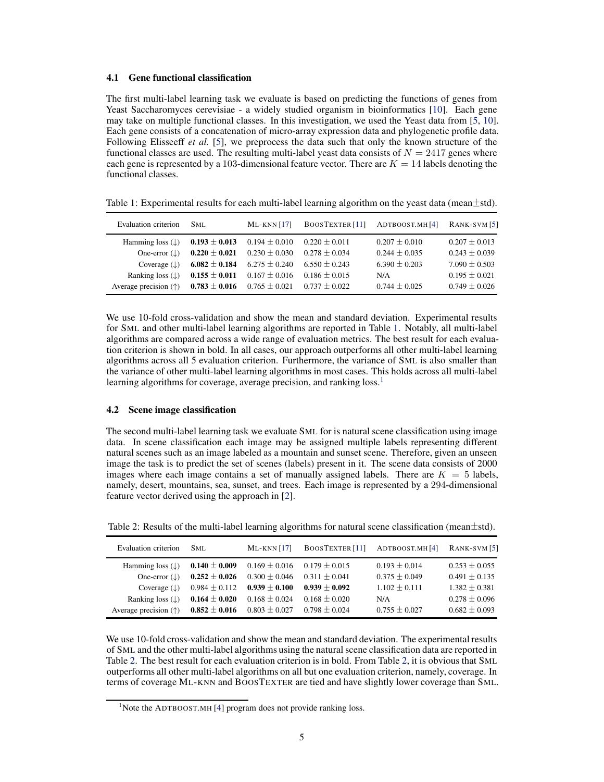#### 4.1 Gene functional classification

The first multi-label learning task we evaluate is based on predicting the functions of genes from Yeast Saccharomyces cerevisiae - a widely studied organism in bioinformatics [\[10\]](#page-5-0). Each gene may take on multiple functional classes. In this investigation, we used the Yeast data from [\[5,](#page-5-0) [10\]](#page-5-0). Each gene consists of a concatenation of micro-array expression data and phylogenetic profile data. Following Elisseeff *et al.* [\[5](#page-5-0)], we preprocess the data such that only the known structure of the functional classes are used. The resulting multi-label yeast data consists of  $N = 2417$  genes where each gene is represented by a 103-dimensional feature vector. There are  $K = 14$  labels denoting the functional classes.

Table 1: Experimental results for each multi-label learning algorithm on the yeast data (mean $\pm$ std).

| Evaluation criterion          | SML.              | $ML-KNN$ [17]     | <b>BOOSTEXTER</b> [11] | ADTBOOST.MH[4]    | $RANK-SVM$ [5]    |
|-------------------------------|-------------------|-------------------|------------------------|-------------------|-------------------|
| Hamming loss $(\downarrow)$   | $0.193 \pm 0.013$ | $0.194 \pm 0.010$ | $0.220 \pm 0.011$      | $0.207 \pm 0.010$ | $0.207 \pm 0.013$ |
| One-error $(L)$               | $0.220 \pm 0.021$ | $0.230 \pm 0.030$ | $0.278 \pm 0.034$      | $0.244 + 0.035$   | $0.243 \pm 0.039$ |
| Coverage $(L)$                | $6.082 \pm 0.184$ | $6.275 \pm 0.240$ | $6.550 \pm 0.243$      | $6.390 \pm 0.203$ | $7.090 \pm 0.503$ |
| Ranking loss $( \downarrow )$ | $0.155 \pm 0.011$ | $0.167 \pm 0.016$ | $0.186 \pm 0.015$      | N/A               | $0.195 \pm 0.021$ |
| Average precision $(†)$       | $0.783 \pm 0.016$ | $0.765 \pm 0.021$ | $0.737 \pm 0.022$      | $0.744 \pm 0.025$ | $0.749 \pm 0.026$ |

We use 10-fold cross-validation and show the mean and standard deviation. Experimental results for SML and other multi-label learning algorithms are reported in Table 1. Notably, all multi-label algorithms are compared across a wide range of evaluation metrics. The best result for each evaluation criterion is shown in bold. In all cases, our approach outperforms all other multi-label learning algorithms across all 5 evaluation criterion. Furthermore, the variance of SML is also smaller than the variance of other multi-label learning algorithms in most cases. This holds across all multi-label learning algorithms for coverage, average precision, and ranking loss.<sup>1</sup>

#### 4.2 Scene image classification

The second multi-label learning task we evaluate SML for is natural scene classification using image data. In scene classification each image may be assigned multiple labels representing different natural scenes such as an image labeled as a mountain and sunset scene. Therefore, given an unseen image the task is to predict the set of scenes (labels) present in it. The scene data consists of 2000 images where each image contains a set of manually assigned labels. There are  $K = 5$  labels, namely, desert, mountains, sea, sunset, and trees. Each image is represented by a 294-dimensional feature vector derived using the approach in [\[2\]](#page-5-0).

| Evaluation criterion           | SML               | $ML-KNN$ [17]     | BOOSTEXTER <sup>[11]</sup> | ADTBOOST.MH [4]   | $RANK-SVM [5]$    |
|--------------------------------|-------------------|-------------------|----------------------------|-------------------|-------------------|
| Hamming loss $(\downarrow)$    | $0.140 \pm 0.009$ | $0.169 \pm 0.016$ | $0.179 \pm 0.015$          | $0.193 \pm 0.014$ | $0.253 \pm 0.055$ |
| One-error $(L)$                | $0.252 \pm 0.026$ | $0.300 \pm 0.046$ | $0.311 \pm 0.041$          | $0.375 \pm 0.049$ | $0.491 \pm 0.135$ |
| Coverage $(L)$                 | $0.984 \pm 0.112$ | $0.939 \pm 0.100$ | $0.939 \pm 0.092$          | $1.102 + 0.111$   | $1.382 + 0.381$   |
| Ranking loss $( \downarrow )$  | $0.164 \pm 0.020$ | $0.168 \pm 0.024$ | $0.168 \pm 0.020$          | N/A               | $0.278 \pm 0.096$ |
| Average precision $(\uparrow)$ | $0.852 \pm 0.016$ | $0.803 \pm 0.027$ | $0.798 \pm 0.024$          | $0.755 \pm 0.027$ | $0.682 \pm 0.093$ |

Table 2: Results of the multi-label learning algorithms for natural scene classification (mean±std).

We use 10-fold cross-validation and show the mean and standard deviation. The experimental results of SML and the other multi-label algorithms using the natural scene classification data are reported in Table 2. The best result for each evaluation criterion is in bold. From Table 2, it is obvious that SML outperforms all other multi-label algorithms on all but one evaluation criterion, namely, coverage. In terms of coverage ML-KNN and BOOSTEXTER are tied and have slightly lower coverage than SML.

 $1$ Note the ADTBOOST.MH [\[4](#page-5-0)] program does not provide ranking loss.